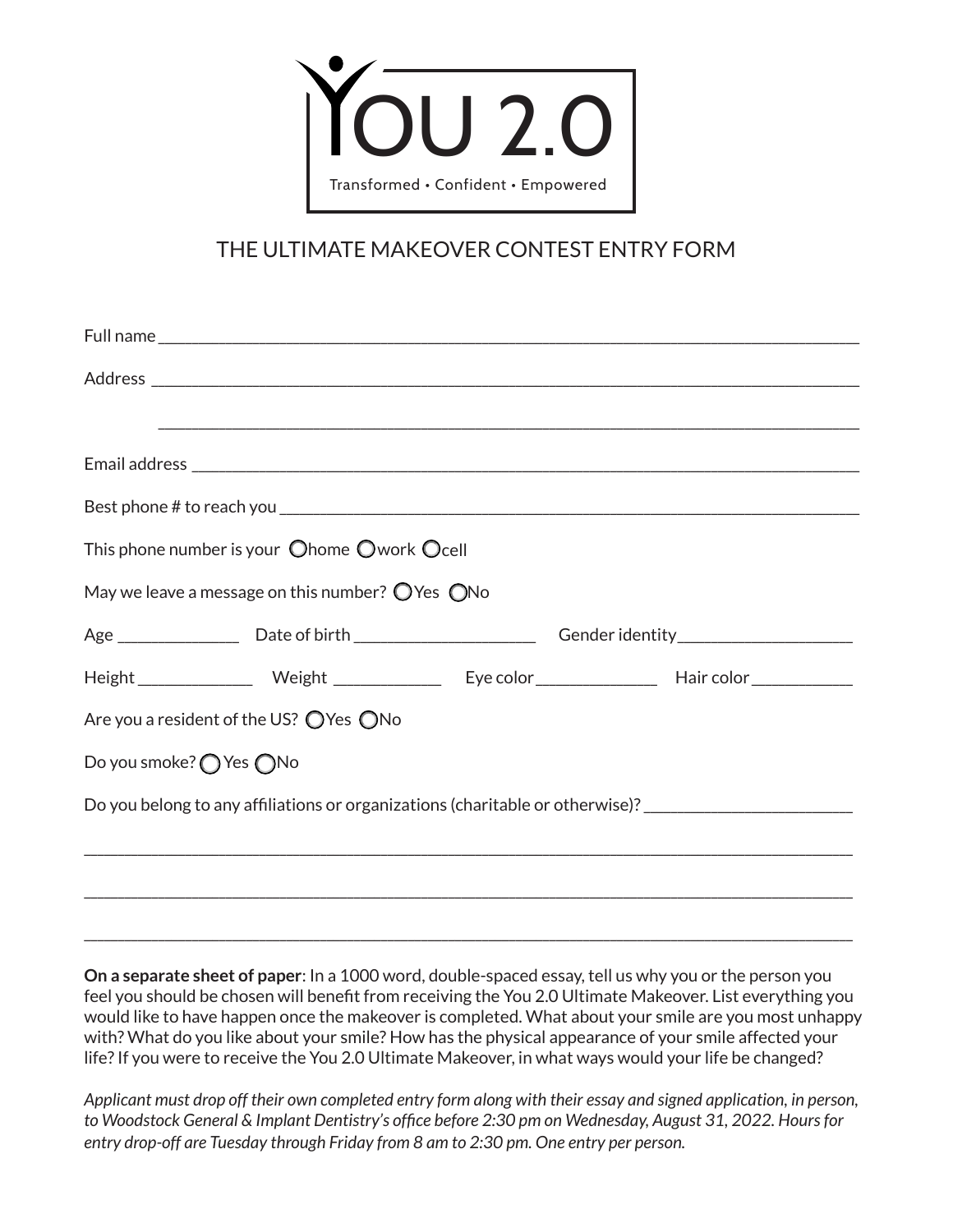

# THE ULTIMATE MAKEOVER CONTEST ENTRY FORM

|                                                                                                      |  | ,我们也不能在这里的人,我们也不能在这里的人,我们也不能在这里的人,我们也不能在这里的人,我们也不能在这里的人,我们也不能在这里的人,我们也不能在这里的人,我们也 |                                                                                                                |
|------------------------------------------------------------------------------------------------------|--|-----------------------------------------------------------------------------------|----------------------------------------------------------------------------------------------------------------|
|                                                                                                      |  |                                                                                   |                                                                                                                |
|                                                                                                      |  |                                                                                   |                                                                                                                |
| This phone number is your $\bigcirc$ home $\bigcirc$ work $\bigcirc$ cell                            |  |                                                                                   |                                                                                                                |
| May we leave a message on this number? $\bigcirc$ Yes $\bigcirc$ No                                  |  |                                                                                   |                                                                                                                |
|                                                                                                      |  |                                                                                   | Age _____________________Date of birth ____________________________Gender identity ___________________________ |
|                                                                                                      |  |                                                                                   |                                                                                                                |
| Are you a resident of the US? $\bigcirc$ Yes $\bigcirc$ No                                           |  |                                                                                   |                                                                                                                |
| Do you smoke? ◯ Yes ◯ No                                                                             |  |                                                                                   |                                                                                                                |
| Do you belong to any affiliations or organizations (charitable or otherwise)? ______________________ |  |                                                                                   |                                                                                                                |
|                                                                                                      |  |                                                                                   |                                                                                                                |
|                                                                                                      |  |                                                                                   |                                                                                                                |

**On a separate sheet of paper**: In a 1000 word, double-spaced essay, tell us why you or the person you feel you should be chosen will benefit from receiving the You 2.0 Ultimate Makeover. List everything you would like to have happen once the makeover is completed. What about your smile are you most unhappy with? What do you like about your smile? How has the physical appearance of your smile affected your life? If you were to receive the You 2.0 Ultimate Makeover, in what ways would your life be changed?

\_\_\_\_\_\_\_\_\_\_\_\_\_\_\_\_\_\_\_\_\_\_\_\_\_\_\_\_\_\_\_\_\_\_\_\_\_\_\_\_\_\_\_\_\_\_\_\_\_\_\_\_\_\_\_\_\_\_\_\_\_\_\_\_\_\_\_\_\_\_\_\_\_\_\_\_\_\_\_\_\_\_\_\_\_\_\_\_\_\_\_\_\_\_\_\_\_\_\_\_\_\_\_\_\_\_\_\_\_\_\_\_\_\_

*Applicant must drop off their own completed entry form along with their essay and signed application, in person, to Woodstock General & Implant Dentistry's office before 2:30 pm on Wednesday, August 31, 2022. Hours for entry drop-off are Tuesday through Friday from 8 am to 2:30 pm. One entry per person.*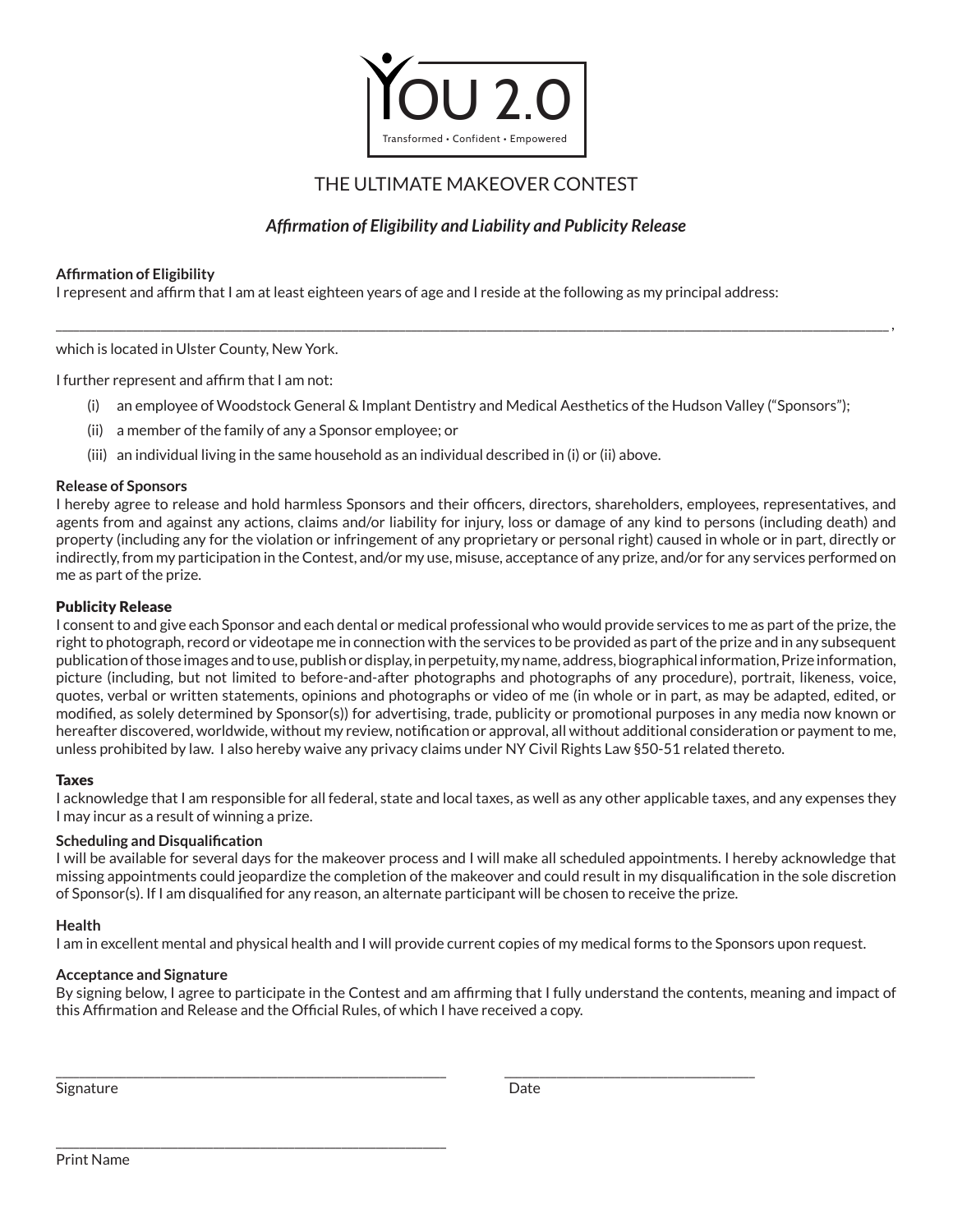

## THE ULTIMATE MAKEOVER CONTEST

## *Affirmation of Eligibility and Liability and Publicity Release*

\_\_\_\_\_\_\_\_\_\_\_\_\_\_\_\_\_\_\_\_\_\_\_\_\_\_\_\_\_\_\_\_\_\_\_\_\_\_\_\_\_\_\_\_\_\_\_\_\_\_\_\_\_\_\_\_\_\_\_\_\_\_\_\_\_\_\_\_\_\_\_\_\_\_\_\_\_\_\_\_\_\_\_\_\_\_\_\_\_\_\_\_\_\_\_\_\_\_\_\_\_\_\_\_\_\_\_\_\_\_\_\_\_\_\_\_\_\_\_\_\_\_\_\_\_\_\_\_\_\_\_\_\_\_\_\_\_\_\_\_\_\_\_,

## **Affirmation of Eligibility**

I represent and affirm that I am at least eighteen years of age and I reside at the following as my principal address:

which is located in Ulster County, New York.

I further represent and affirm that I am not:

- (i) an employee of Woodstock General & Implant Dentistry and Medical Aesthetics of the Hudson Valley ("Sponsors");
- (ii) a member of the family of any a Sponsor employee; or
- (iii) an individual living in the same household as an individual described in (i) or (ii) above.

## **Release of Sponsors**

I hereby agree to release and hold harmless Sponsors and their officers, directors, shareholders, employees, representatives, and agents from and against any actions, claims and/or liability for injury, loss or damage of any kind to persons (including death) and property (including any for the violation or infringement of any proprietary or personal right) caused in whole or in part, directly or indirectly, from my participation in the Contest, and/or my use, misuse, acceptance of any prize, and/or for any services performed on me as part of the prize.

## Publicity Release

I consent to and give each Sponsor and each dental or medical professional who would provide services to me as part of the prize, the right to photograph, record or videotape me in connection with the services to be provided as part of the prize and in any subsequent publication of those images and to use, publish or display, in perpetuity, my name, address, biographical information, Prize information, picture (including, but not limited to before-and-after photographs and photographs of any procedure), portrait, likeness, voice, quotes, verbal or written statements, opinions and photographs or video of me (in whole or in part, as may be adapted, edited, or modified, as solely determined by Sponsor(s)) for advertising, trade, publicity or promotional purposes in any media now known or hereafter discovered, worldwide, without my review, notification or approval, all without additional consideration or payment to me, unless prohibited by law. I also hereby waive any privacy claims under NY Civil Rights Law §50-51 related thereto.

## Taxes

I acknowledge that I am responsible for all federal, state and local taxes, as well as any other applicable taxes, and any expenses they I may incur as a result of winning a prize.

## **Scheduling and Disqualification**

I will be available for several days for the makeover process and I will make all scheduled appointments. I hereby acknowledge that missing appointments could jeopardize the completion of the makeover and could result in my disqualification in the sole discretion of Sponsor(s). If I am disqualified for any reason, an alternate participant will be chosen to receive the prize.

## **Health**

I am in excellent mental and physical health and I will provide current copies of my medical forms to the Sponsors upon request.

\_\_\_\_\_\_\_\_\_\_\_\_\_\_\_\_\_\_\_\_\_\_\_\_\_\_\_\_\_\_\_\_\_\_\_\_\_\_\_\_\_\_\_\_\_\_\_\_\_\_\_\_\_\_\_\_\_\_\_\_\_\_\_\_\_\_\_ \_\_\_\_\_\_\_\_\_\_\_\_\_\_\_\_\_\_\_\_\_\_\_\_\_\_\_\_\_\_\_\_\_\_\_\_\_\_\_\_\_\_\_

## **Acceptance and Signature**

\_\_\_\_\_\_\_\_\_\_\_\_\_\_\_\_\_\_\_\_\_\_\_\_\_\_\_\_\_\_\_\_\_\_\_\_\_\_\_\_\_\_\_\_\_\_\_\_\_\_\_\_\_\_\_\_\_\_\_\_\_\_\_\_\_\_\_

By signing below, I agree to participate in the Contest and am affirming that I fully understand the contents, meaning and impact of this Affirmation and Release and the Official Rules, of which I have received a copy.

Signature **Date**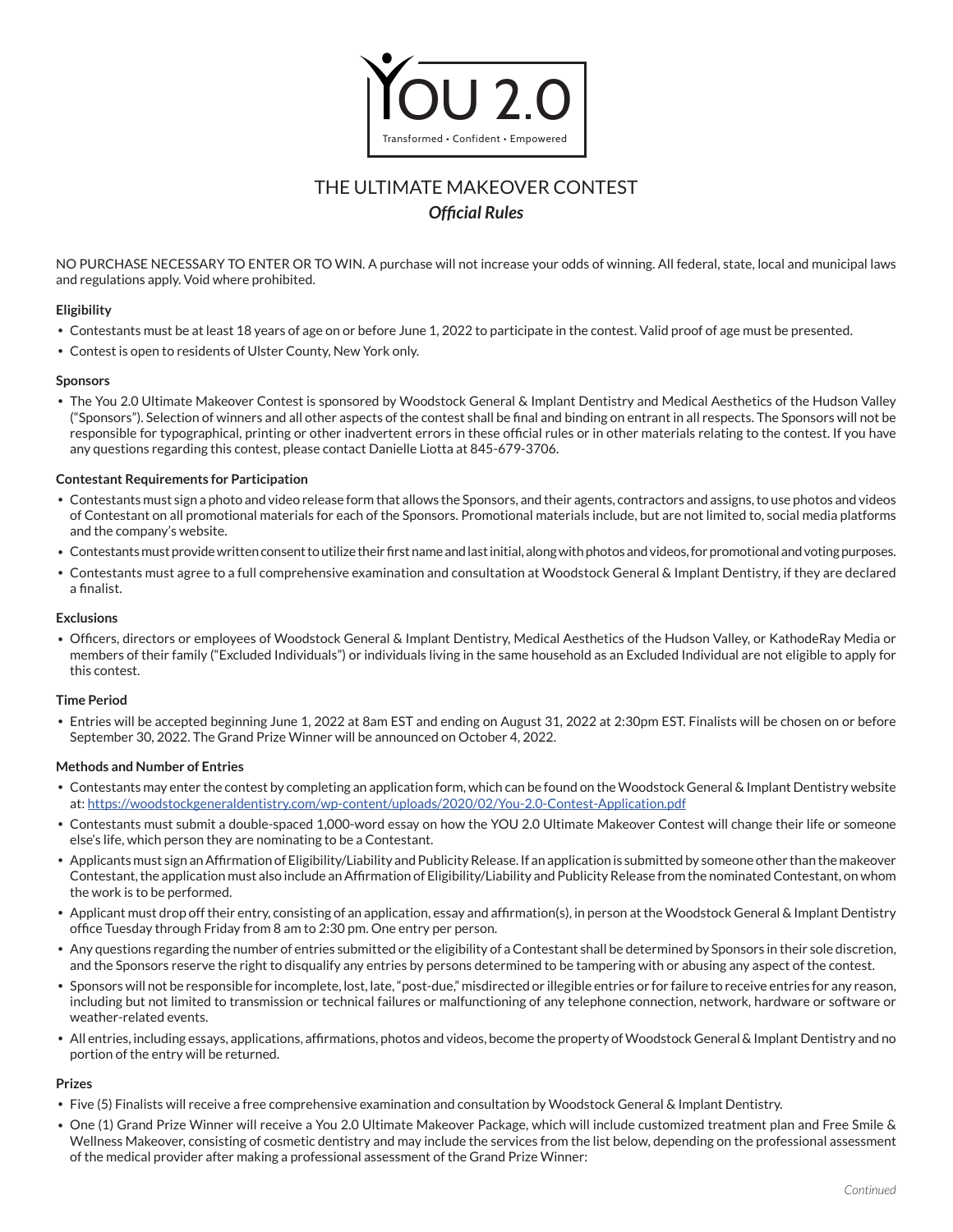

# THE ULTIMATE MAKEOVER CONTEST *Official Rules*

NO PURCHASE NECESSARY TO ENTER OR TO WIN. A purchase will not increase your odds of winning. All federal, state, local and municipal laws and regulations apply. Void where prohibited.

#### **Eligibility**

- Contestants must be at least 18 years of age on or before June 1, 2022 to participate in the contest. Valid proof of age must be presented.
- Contest is open to residents of Ulster County, New York only.

#### **Sponsors**

• The You 2.0 Ultimate Makeover Contest is sponsored by Woodstock General & Implant Dentistry and Medical Aesthetics of the Hudson Valley ("Sponsors"). Selection of winners and all other aspects of the contest shall be final and binding on entrant in all respects. The Sponsors will not be responsible for typographical, printing or other inadvertent errors in these official rules or in other materials relating to the contest. If you have any questions regarding this contest, please contact Danielle Liotta at 845-679-3706.

#### **Contestant Requirements for Participation**

- Contestants must sign a photo and video release form that allows the Sponsors, and their agents, contractors and assigns, to use photos and videos of Contestant on all promotional materials for each of the Sponsors. Promotional materials include, but are not limited to, social media platforms and the company's website.
- Contestants must provide written consent to utilize their first name and last initial, along with photos and videos, for promotional and voting purposes.
- Contestants must agree to a full comprehensive examination and consultation at Woodstock General & Implant Dentistry, if they are declared a finalist.

#### **Exclusions**

• Officers, directors or employees of Woodstock General & Implant Dentistry, Medical Aesthetics of the Hudson Valley, or KathodeRay Media or members of their family ("Excluded Individuals") or individuals living in the same household as an Excluded Individual are not eligible to apply for this contest.

#### **Time Period**

• Entries will be accepted beginning June 1, 2022 at 8am EST and ending on August 31, 2022 at 2:30pm EST. Finalists will be chosen on or before September 30, 2022. The Grand Prize Winner will be announced on October 4, 2022.

#### **Methods and Number of Entries**

- Contestants may enter the contest by completing an application form, which can be found on the Woodstock General & Implant Dentistry website at: <https://woodstockgeneraldentistry.com/wp-content/uploads/2020/02/You-2.0-Contest-Application.pdf>
- Contestants must submit a double-spaced 1,000-word essay on how the YOU 2.0 Ultimate Makeover Contest will change their life or someone else's life, which person they are nominating to be a Contestant.
- Applicants must sign an Affirmation of Eligibility/Liability and Publicity Release. If an application is submitted by someone other than the makeover Contestant, the application must also include an Affirmation of Eligibility/Liability and Publicity Release from the nominated Contestant, on whom the work is to be performed.
- Applicant must drop off their entry, consisting of an application, essay and affirmation(s), in person at the Woodstock General & Implant Dentistry office Tuesday through Friday from 8 am to 2:30 pm. One entry per person.
- Any questions regarding the number of entries submitted or the eligibility of a Contestant shall be determined by Sponsors in their sole discretion, and the Sponsors reserve the right to disqualify any entries by persons determined to be tampering with or abusing any aspect of the contest.
- Sponsors will not be responsible for incomplete, lost, late, "post-due," misdirected or illegible entries or for failure to receive entries for any reason, including but not limited to transmission or technical failures or malfunctioning of any telephone connection, network, hardware or software or weather-related events.
- All entries, including essays, applications, affirmations, photos and videos, become the property of Woodstock General & Implant Dentistry and no portion of the entry will be returned.

## **Prizes**

- Five (5) Finalists will receive a free comprehensive examination and consultation by Woodstock General & Implant Dentistry.
- One (1) Grand Prize Winner will receive a You 2.0 Ultimate Makeover Package, which will include customized treatment plan and Free Smile & Wellness Makeover, consisting of cosmetic dentistry and may include the services from the list below, depending on the professional assessment of the medical provider after making a professional assessment of the Grand Prize Winner: